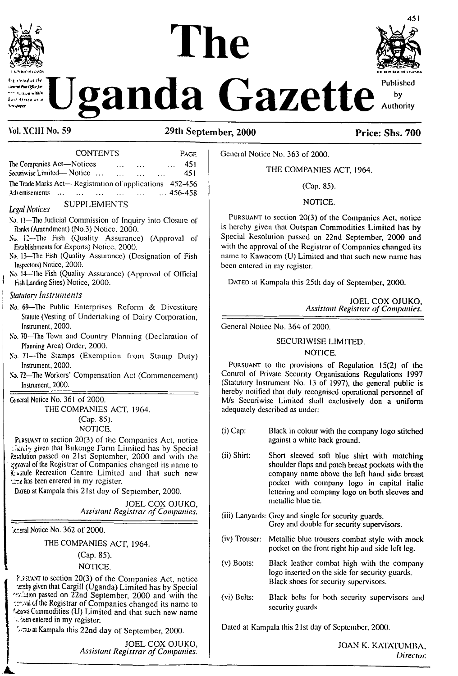



**Liganda** Gazette

#### Vol. XCIII No. 59 29th September, 2000 **Price: Shs. 700**

CONTENTS Page The Companies Act—Notices .............. ... 451 Securiwisc Limited—Notice..................................... <sup>451</sup> The Trade Marks Act—Registration of applications 452-456 Advertisements........................................................... 456-458

### . . SUPPLEMENTS *Legal Notices*

No. <sup>11</sup>—The Judicial Commission of Inquiry into Closure of Banks (Amendment) (No.3) Notice. 2000.

Nu. i2—The Fish (Quality Assurance) (Approval of Establishments for Exports) Notice, 2000.

No. <sup>13</sup>—The Fish (Quality Assurance) (Designation of Fish Inspectors) Notice, 2000.

*. No.* <sup>14</sup>—The Fish (Quality Assurance) (Approval of Official Fish Landing Sites) Notice, 2000.

#### *: Statutory Instruments*

No. 69-The Public Enterprises Reform & Divestiture Statute (Vesting of Undertaking of Dairy Corporation, Instrument, 2000.

No. 70—The Town and Country Planning (Declaration of Planning Area) Order, 2000.

No. 71—The Stamps (Exemption from Stamp Duty) Instrument, 2000.

No. 72—The Workers' Compensation Act (Commencement) Instrument, 2000.

General Notice No. 361 of 2000.

THE COMPANIES ACT, 1964. (Cap. 85). NOTICE.

PURSUANT to section 20(3) of the Companies Act, notice Unity given that Bukouge Farm Limited has by Special Resolution passed on 21st September, 2000 and with the zproval of the Registrar of Companies changed its name to is a tule Recreation Centre Limited and that such new time has been entered in my register.

<sup>D</sup>ated at Kampala this 21st day of September, 2000.

JOEL COX OJUKO, *Assistant Registrar ofCompanies.*

fatteral Notice No. 362 of 2000.

THE COMPANIES ACT, 1964.

(Cap. 85).

#### NOTICE.

 $E$ 350ANT to section 20(3) of the Companies Act, notice 'zreby given that Cargill (Uganda) Limited has by Special 'ration passed on 22nd September, 2000 and with the : wal of the Registrar of Companies changed its name to CcmCommodities (U) Limited and that such new name /'zen entered in my register.

Lette al Kampala this 22nd day of September, 2000.

JOEL COX OJUKO, *Assistant Registrar ofCompanies.*

General Notice No. 363 of 2000.

#### THE COMPANIES ACT, 1964.

(Cap. 85).

NOTICE.

Pursuant to section 20(3) of the Companies Act, notice is hereby given that Outspan Commodities Limited has by Special Resolution passed on 22nd September, 2000 and with the approval of the Registrar of Companies changed its name to Kawacom (U) Limited and that such new name has been entered in my register.

DATED at Kampala this 25th day of September, 2000.

JOEL COX OJUKO. *Assistant Registrar ofCompanies.*

General Notice No. 364 of 2000.

#### SECURIWISE LIMITED.

#### NOTICE.

Pursuant to the provisions of Regulation 15(2) of the Control of Private Security Organisations Regulations 1997 (Statutory Instrument No. 13 of 1997), the general public is hereby notified that duly recognised operational personnel of M/s Sccuriwisc Limited shall exclusively don a uniform adequately described as under:

- (i) Cap: Black in colour with the company logo stitched against a white back ground.
- (ii) Shirt: Short sleeved soft blue shirt with matching shoulder flaps and patch breast pockets with the company name above the left hand side breast pocket with company logo in capital italic lettering and company logo on both sleeves and metallic blue tic.
- (iii) Lanyards: Grey and single for security guards. Grey and double for security supervisors.
- (iv) Trouser: Metallic blue trousers combat style with mock pocket on the front right hip and side left leg.
- (v) Boots: Black leather combat high with the company logo inserted on the side for security guards. Black shoes for security supervisors.
- (vi) Belts: Black belts for both security supervisors and security guards.

Dated at Kampala this 21st day of September. 2000.

JOAN K. KATATUMBA. *Director.*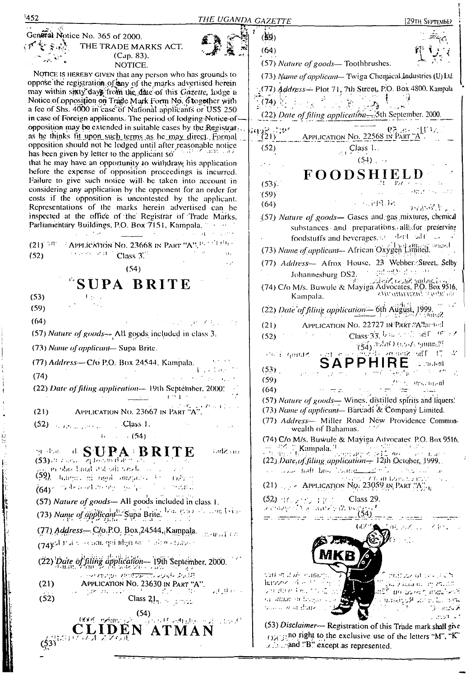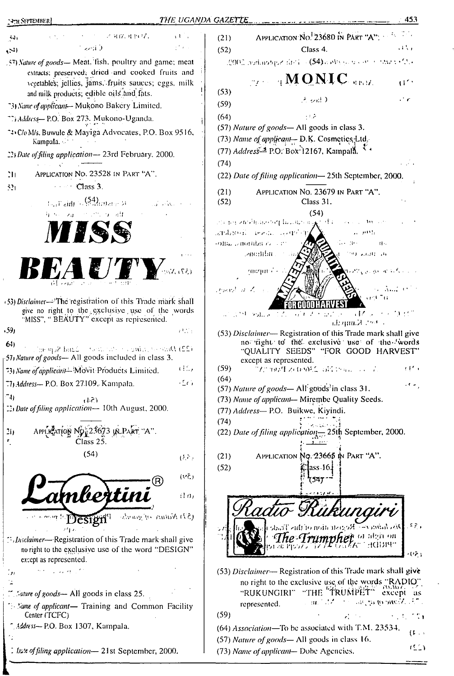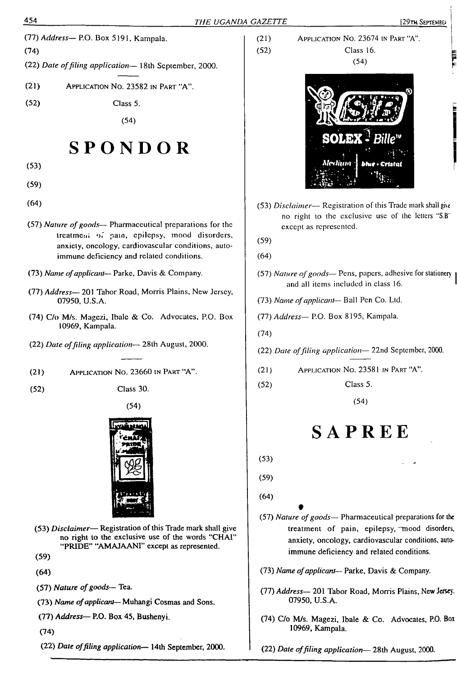(77) *Address—* P.O. Box 5191, Kampala.

- (74)
- (22) *Date offiling application—* 18th September, 2000.
- (21) <sup>A</sup>pplication <sup>N</sup>o. <sup>23582</sup> in <sup>P</sup>art "A".
- (52) Class 5.

(54)

**SPONDOR**

- (53)
- (59)
- (64)
- (57) *Nature ofgoods—* Pharmaceutical preparations for the treatment of pain, epilepsy, mood disorders, anxiety, oncology, cardiovascular conditions, autoimmune deficiency and related conditions.
- (73) *Name ofapplicant—* Parke, Davis & Company.
- (77) *Address—* 201 Tabor Road, Morris Plains, New Jersey, 07950, U.S.A.
- (74) C/o M/s. Magezi, Ibale & Co. Advocates, P.O. Box 10969, Kampala.
- (22) *Date offiling application-* 28th August, 2000.
- (21) Application No. <sup>23660</sup> in <sup>P</sup>art "A".
- (52) Class 30.

(54)



- (53) *Disclaimer* Registration of this Trade mark shall give no right to the exclusive use of the words "CHAI" "PRIDE" "AMAJAANI" except as represented.
- (59)
- (64)
- (57) *Nature ofgoods—* Tea.
- (73) *Name ofapplicant—* Muhangi Cosmas and Sons.
- (77) *Address* P.O. Box 45, Bushenyi.
- (74)
- (22) *Date offiling application—* 14th September, 2000.



(53) *Disclaimer—* Registration of this Trade mark shall gi\e no right to the exclusive use of the letters "S.B" except as represented.

(59)

(64)

(57) *Nature ofgoods—* Pens, papers, adhesive for stationery and all items included in class 16.

(73) *Name ofapplicant*— Ball Pen Co. Ltd.

(77) *Address—* P.O. Box 8195, Kampala.

(74)

(22) *Date offiling application—* 22nd September, 2000.

- (21) Application No. <sup>23581</sup> in <sup>P</sup>art "A".
- (52) Class 5.

(54)

## SAPREE

- $(53)$
- (59)

(64)

- (57) *Nature ofgoods—* Pharmaceutical preparations for the treatment of pain, epilepsy, 'mood disorders, anxiety, oncology, cardiovascular conditions, autoimmune deficiency and related conditions.
- (73) *Name ofapplicant—* Parke, Davis & Company.
- (77) *Address—* 201 Tabor Road, Morris Plains, New Jersey. 07950, U.S.A.
- (74) C/o M/s. Magezi, Ibale & Co. Advocates, P.O. Box 10969, Kampala.
- (22) *Date offiling application—* 28th August, 2000.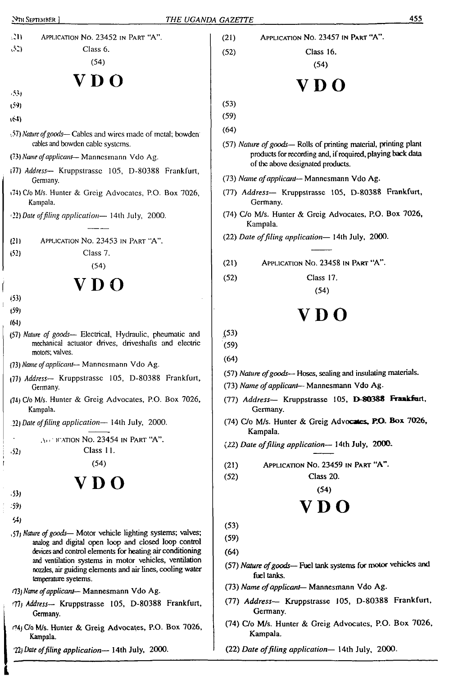

'22) *Date offiling application—* 14th July, 2000.

Kampala.

(22) *Date offiling application—* 14th July, 2000.

Kampala.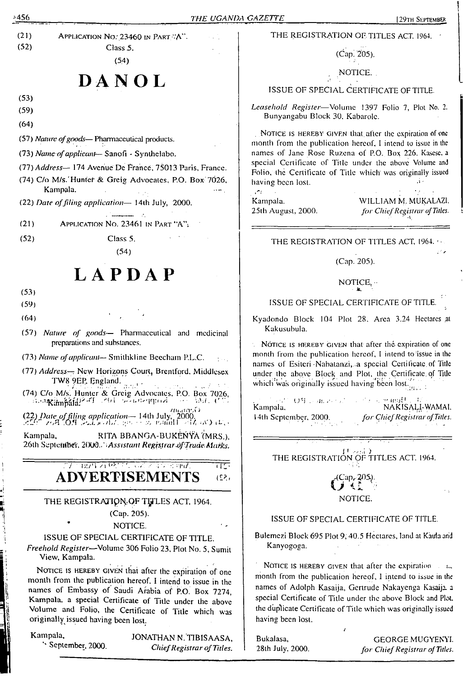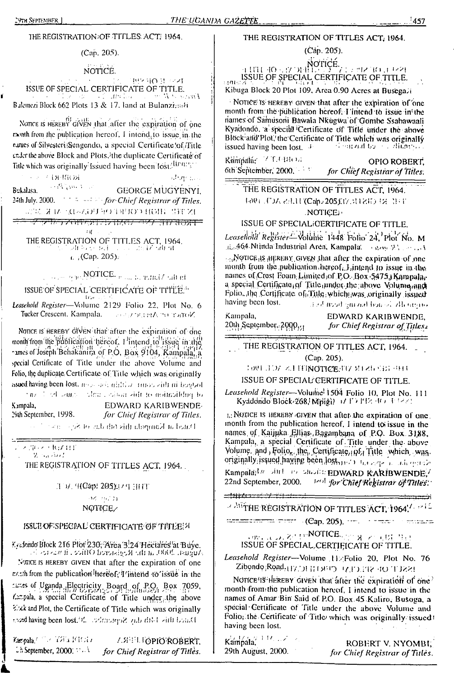## THE REGISTRATION OF TITLES ACT. 1964.

 $457$ 

| THE REGISTRATION OF TITLES ACT, 1964. |  |
|---------------------------------------|--|
|---------------------------------------|--|

(Cap. 205).

NOTICE.

ਾਲ ਬੰਨ ਸ਼ਾਂ ਵੱਲ ISSUE OF SPECIAL CERTIFICATE OF TITLE.  $\mu_{\rm ELO}$  ,  $\mu_{\rm E}$  and i um leg Balemezi Block 662 Plots 13 & 17, land at Bulanzi: ali

Nonce is HEREBY GIVEN that after the expiration of one example from the publication hereof. I intend to issue in the names of Silvesteri Sengendo, a special Certificate of Title ender the above Block and Plots, the duplicate Certificate of Title which was originally issued having been lost.<sup>*Hrang*</sup>

**CELLER ESSENTIAL** identifica- $4.623$  (1993)  $3.7$  (17 Bukalasa. **GEORGE MUGYENYI.** 24th July, 2000. The State of Section of Titles. IN THE HIGH COURT OF UGA ALA ALK NEW

<u>स्टॉलेज स्थापिका स्थित स्टब्स सारमाञ्जन न</u>  $\pm it$ THE REGISTRATION OF TITLES ACT, 1964. a consideration 別時 いっぽ  $_{\text{L} - i}$  (Cap. 205).

seems a priNOTICE, a contemporaril sait of ISSUE OF SPECIAL CERTIFICATE OF TITLE.

Lasehold Register-Volume 2129 Folio 22, Plot No. 6 Tucker Crescent, Kampala. Noracrow Arancos as

Nonce is HEREBY GIVEN that after the expiration of one month from the bublication hereof. I intend, to lissue in the sames of Joseph Behakanira of P.O. Box 9104, Kampala, a special Certificate of Title under the above Volume and Folio, the duplicate Certificate of Title which was originally issued having been lost, uncertainty and the mode all minoration the lookieation of this relevance and the looking to

**EDWARD KARIBWENDE-**Kampala, 29th September, 1998. for Chief Registrar of Titles. Pated at Kampala this 6th day of Seys and Co-

大部分 电存出

 $\Sigma$  and  $\Delta \alpha f$ 

THE REGISTRATION OF TITLES ACT, 1964.

Л Э/. Ч(Сар! 205); / Ч НИТ

48. ru20) NOTICE/

### ISSUE OF SPECIAL CERTIFICATE OF TITLE! A

Kyalondo Block 216 Plot 230, Area 3.24 Hectares at Buye. August, 2000, at the Registered Office, it was testing NOTICE IS HEREBY GIVEN that after the expiration of one exact from the publication hereof, Tintend to issue in the rates of Uganda Electricity Board of P.O., Box 7059, Azzpala, a special Certificate of Title under the above Exk and Plot, the Certificate of Title which was originally Dated this 1-hh day September. 20,bol nood grival bases

Kanpala, K. KHA RICH) **ZEFFLIOPIO ROBERT**  $25$  September, 2000;  $11.1$ for Chief Registrar of Titles.

(Cap. 205).

NOTICE.<br>1994 LELL 10 : 17 DELL 17 CERTIFICATE OF TITLE.<br>1996 SPECIAL CERTIFICATE OF TITLE. Kibuga Block 20 Plot 109, Area 0.90 Acres at Busegali

NOTICE IS HEREBY GIVEN that after the expiration of one month from the publication hereof. I intend to issue in the names of Samusoni Bawala Nkugwa of Gombe Ssabawaali Kyadondo, a special Certificate of Title under the above Block and Plot, the Certificate of Title which was originally issued having been lost. 30 of early and to concert differently

| Rampalne / LI-HOR    | OPIO ROBERT,                   |
|----------------------|--------------------------------|
| 6th September, 2000. | for Chief Registrar of Titles. |

THE REGISTRATION OF TITLES ACT, 1964. 1694 JUA 2:131 (Cap. 205) 37.33 ZEE 33 33 T NOTICE<sup>1</sup>

### ISSUE OF SPECIAL OERTIFICATE OF TITLE.

Leasehold Register-Volume 1448 Folio 24, Plot No. M als:464 Ntinda Industrial Area, Kampala. (Web 25 and 34 <sub>25</sub> NOTICE<sub>1</sub>IS HEREBY GIVEN that after the expiration of one month from the publication hereof. Lintend to issue in the names of Crost Foam Limited of P.O. Box 5475 j Kampala, a special Certificate of Title under the above Volume and Folio, the Certificate of Title which was originally issued having been lost. and avoid gamed board. Zhougho

Kampala, 20th September, 2000, EDWARD KARIBWENDE. for Chief Registrar of Titles.

THE REGISTRATION OF TITLES ACT, 1964.  $(Cap. 205)$ .

TOPE HOW WA TEINOTICE.TO SERVE HEL

ISSUE OF SPECIAL CERTIFICATE OF TITLE.

Leasehold Register-Volume 1504 Folio 10, Plot No. 111 Kyddondo Block/268/Mpigi) a/ F) FE HO F P2

L: NOTICE IS HEREBY GIVEN that after the expiration of one month from the publication hereof, I intend to issue in the names of Kaijuka Ellias Bagambana of P.O. Box 3188. Kampala, a special Certificate of Title under the above Volume, and Folio, the Certificate 1061 Title which was originally issued having been lost 11 (1) the set is this mash Kampalail // blit in short: EDWARD KARIBWENDE. 1201 for Chief Registrar of Titles: 22nd September, 2000.

A MITHE REGISTRATION OF TITLES ACT, 1964! A PAL

**ONE LOSE OF P-NOTICE** (2008) 2006 BY BE ISSUE OF SPECIAL CERTIFICATE OF TITLE.

Leasehold Register--Volume 11/Folio 20, Plot No. 76 ESCT OF SPECEN CPRETERING Read-phone CRE

NOTICE<sup>1</sup>IS HEREBY GIVEN that after the expiration of one month from the publication hereof, I intend to issue in the names of Amar Bin Said of P.O. Box 45 Kaliro, Busoga, a special Certificate of Title under the above Volume and Folio; the Certificate of Title which was originally issued! having been lost.

Kampala,  $(1, 1)$ 29th August, 2000.

ROBERT V. NYOMBI, for Chief Registrar of Titlès.

**TOTAL TO**